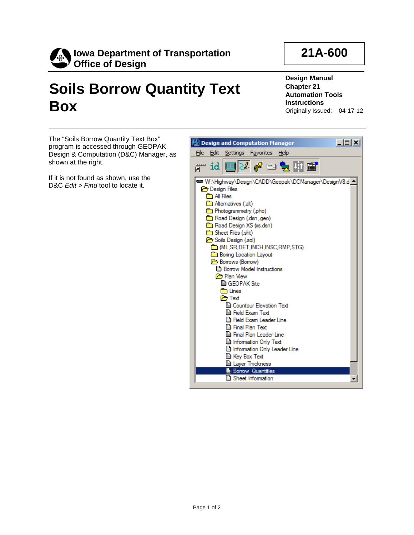

## **Soils Borrow Quantity Text Box**

**Design Manual Chapter 21 Automation Tools Instructions** Originally Issued: 04-17-12

**21A-600**

The "Soils Borrow Quantity Text Box" program is accessed through GEOPAK Design & Computation (D&C) Manager, as shown at the right.

If it is not found as shown, use the D&C *Edit > Find* tool to locate it.

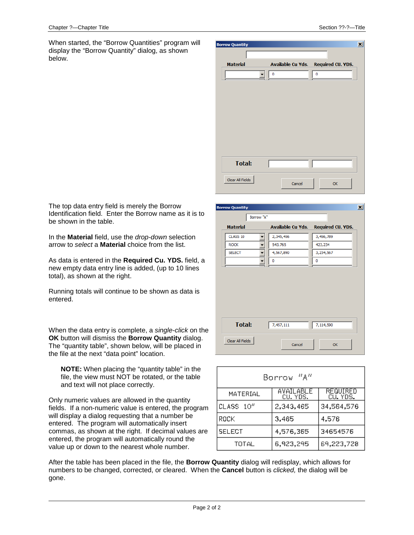$\vert x \vert$ 

When started, the "Borrow Quantities" program will display the "Borrow Quantity" dialog, as shown below.

|        |    | ⊠                                   |
|--------|----|-------------------------------------|
|        |    |                                     |
|        |    |                                     |
| 0      | 0  |                                     |
|        |    |                                     |
|        |    |                                     |
|        |    |                                     |
|        |    |                                     |
|        |    |                                     |
|        |    |                                     |
|        |    |                                     |
|        |    |                                     |
|        |    |                                     |
|        |    |                                     |
|        |    |                                     |
| Cancel | OK |                                     |
|        |    | Available Cu Yds. Required CU. YDS. |

The top data entry field is merely the Borrow Identification field. Enter the Borrow name as it is to be shown in the table.

In the **Material** field, use the *drop-down* selection arrow to *select* a **Material** choice from the list.

As data is entered in the **Required Cu. YDS.** field, a new empty data entry line is added, (up to 10 lines total), as shown at the right.

Running totals will continue to be shown as data is entered.

When the data entry is complete, a *single-click* on the **OK** button will dismiss the **Borrow Quantity** dialog. The "quantity table", shown below, will be placed in the file at the next "data point" location.

**NOTE:** When placing the "quantity table" in the file, the view must NOT be rotated, or the table and text will not place correctly.

Only numeric values are allowed in the quantity fields. If a non-numeric value is entered, the program will display a dialog requesting that a number be entered. The program will automatically insert commas, as shown at the right. If decimal values are entered, the program will automatically round the value up or down to the nearest whole number.

Borrow "A" **Available Cu Yds. Required CU. YDS. Material** 2.345.456 3.456.789 CLASS 10  $\overline{\phantom{a}}$  $ROCK$  $\overline{\phantom{0}}$ 543,765 423,234 4,567,890 3.234.567 SELECT  $\blacksquare$  $\overline{0}$  $\overline{0}$ **Total:**  $7,457,111$ 7,114,590 Clear All Fields  $\alpha$ Cancel

**Borrow Quantity** 

| Borrow "A"    |                       |                      |  |
|---------------|-----------------------|----------------------|--|
| MATERIAL      | AVAILABLE<br>CU. YDS. | REQUIRED<br>CU. YDS. |  |
| CLASS 10"     | 2,343,465             | 34,564,576           |  |
| ROCK          | 3,465                 | 4,576                |  |
| <b>SELECT</b> | 4,576,365             | 34654576             |  |
| TOTAL         | 6,923,295             | 69,223,728           |  |

After the table has been placed in the file, the **Borrow Quantity** dialog will redisplay, which allows for numbers to be changed, corrected, or cleared. When the **Cancel** button is *clicked,* the dialog will be gone.